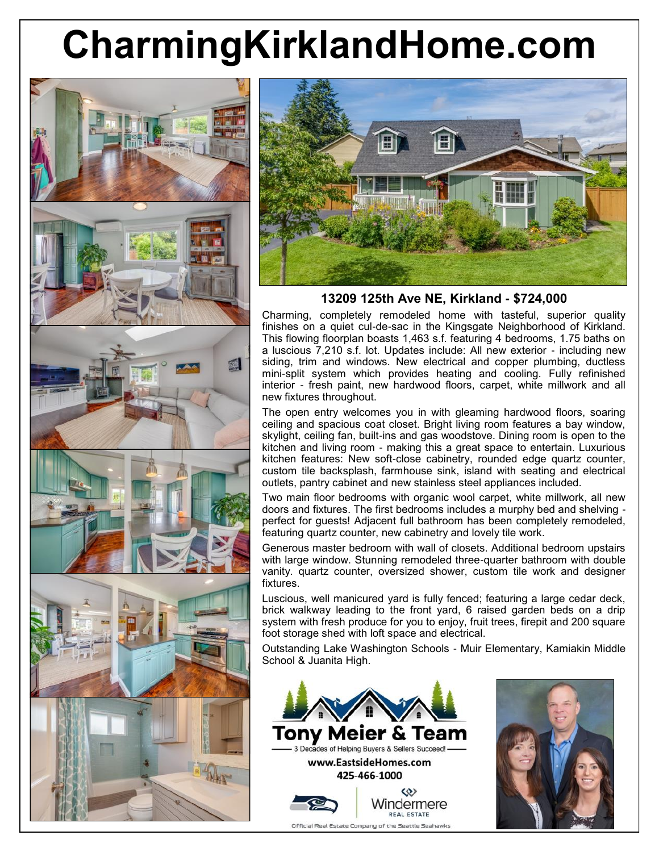## **CharmingKirklandHome.com**





**13209 125th Ave NE, Kirkland - \$724,000**

Charming, completely remodeled home with tasteful, superior quality finishes on a quiet cul-de-sac in the Kingsgate Neighborhood of Kirkland. This flowing floorplan boasts 1,463 s.f. featuring 4 bedrooms, 1.75 baths on a luscious 7,210 s.f. lot. Updates include: All new exterior - including new siding, trim and windows. New electrical and copper plumbing, ductless mini-split system which provides heating and cooling. Fully refinished interior - fresh paint, new hardwood floors, carpet, white millwork and all new fixtures throughout.

The open entry welcomes you in with gleaming hardwood floors, soaring ceiling and spacious coat closet. Bright living room features a bay window, skylight, ceiling fan, built-ins and gas woodstove. Dining room is open to the kitchen and living room - making this a great space to entertain. Luxurious kitchen features: New soft-close cabinetry, rounded edge quartz counter, custom tile backsplash, farmhouse sink, island with seating and electrical outlets, pantry cabinet and new stainless steel appliances included.

Two main floor bedrooms with organic wool carpet, white millwork, all new doors and fixtures. The first bedrooms includes a murphy bed and shelving perfect for guests! Adjacent full bathroom has been completely remodeled, featuring quartz counter, new cabinetry and lovely tile work.

Generous master bedroom with wall of closets. Additional bedroom upstairs with large window. Stunning remodeled three-quarter bathroom with double vanity. quartz counter, oversized shower, custom tile work and designer fixtures.

Luscious, well manicured yard is fully fenced; featuring a large cedar deck, brick walkway leading to the front yard, 6 raised garden beds on a drip system with fresh produce for you to enjoy, fruit trees, firepit and 200 square foot storage shed with loft space and electrical.

Outstanding Lake Washington Schools - Muir Elementary, Kamiakin Middle School & Juanita High.





Official Real Estate Company of the Seattle Seahawks